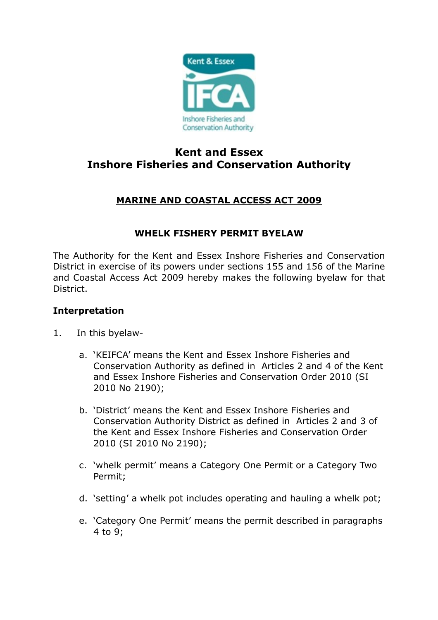

# **Kent and Essex Inshore Fisheries and Conservation Authority**

## **MARINE AND COASTAL ACCESS ACT 2009**

### **WHELK FISHERY PERMIT BYELAW**

The Authority for the Kent and Essex Inshore Fisheries and Conservation District in exercise of its powers under sections 155 and 156 of the Marine and Coastal Access Act 2009 hereby makes the following byelaw for that District.

#### **Interpretation**

- 1. In this byelaw
	- a. 'KEIFCA' means the Kent and Essex Inshore Fisheries and Conservation Authority as defined in Articles 2 and 4 of the Kent and Essex Inshore Fisheries and Conservation Order 2010 (SI 2010 No 2190);
	- b. 'District' means the Kent and Essex Inshore Fisheries and Conservation Authority District as defined in Articles 2 and 3 of the Kent and Essex Inshore Fisheries and Conservation Order 2010 (SI 2010 No 2190);
	- c. 'whelk permit' means a Category One Permit or a Category Two Permit;
	- d. 'setting' a whelk pot includes operating and hauling a whelk pot;
	- e. 'Category One Permit' means the permit described in paragraphs 4 to 9;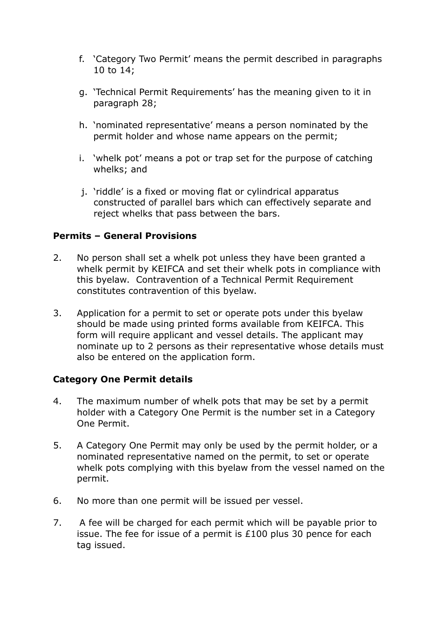- f. 'Category Two Permit' means the permit described in paragraphs 10 to 14;
- g. 'Technical Permit Requirements' has the meaning given to it in paragraph 28;
- h. 'nominated representative' means a person nominated by the permit holder and whose name appears on the permit;
- i. 'whelk pot' means a pot or trap set for the purpose of catching whelks; and
- j. 'riddle' is a fixed or moving flat or cylindrical apparatus constructed of parallel bars which can effectively separate and reject whelks that pass between the bars.

#### **Permits – General Provisions**

- 2. No person shall set a whelk pot unless they have been granted a whelk permit by KEIFCA and set their whelk pots in compliance with this byelaw. Contravention of a Technical Permit Requirement constitutes contravention of this byelaw.
- 3. Application for a permit to set or operate pots under this byelaw should be made using printed forms available from KEIFCA. This form will require applicant and vessel details. The applicant may nominate up to 2 persons as their representative whose details must also be entered on the application form.

#### **Category One Permit details**

- 4. The maximum number of whelk pots that may be set by a permit holder with a Category One Permit is the number set in a Category One Permit.
- 5. A Category One Permit may only be used by the permit holder, or a nominated representative named on the permit, to set or operate whelk pots complying with this byelaw from the vessel named on the permit.
- 6. No more than one permit will be issued per vessel.
- 7. A fee will be charged for each permit which will be payable prior to issue. The fee for issue of a permit is £100 plus 30 pence for each tag issued.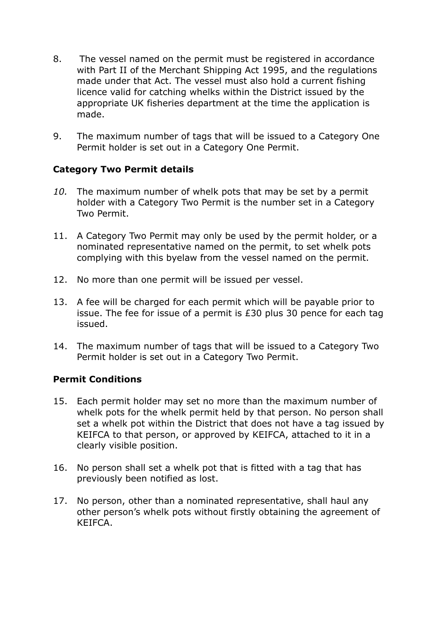- 8. The vessel named on the permit must be registered in accordance with Part II of the Merchant Shipping Act 1995, and the regulations made under that Act. The vessel must also hold a current fishing licence valid for catching whelks within the District issued by the appropriate UK fisheries department at the time the application is made.
- 9. The maximum number of tags that will be issued to a Category One Permit holder is set out in a Category One Permit.

#### **Category Two Permit details**

- *10.* The maximum number of whelk pots that may be set by a permit holder with a Category Two Permit is the number set in a Category Two Permit.
- 11. A Category Two Permit may only be used by the permit holder, or a nominated representative named on the permit, to set whelk pots complying with this byelaw from the vessel named on the permit.
- 12. No more than one permit will be issued per vessel.
- 13. A fee will be charged for each permit which will be payable prior to issue. The fee for issue of a permit is £30 plus 30 pence for each tag issued.
- 14. The maximum number of tags that will be issued to a Category Two Permit holder is set out in a Category Two Permit.

#### **Permit Conditions**

- 15. Each permit holder may set no more than the maximum number of whelk pots for the whelk permit held by that person. No person shall set a whelk pot within the District that does not have a tag issued by KEIFCA to that person, or approved by KEIFCA, attached to it in a clearly visible position.
- 16. No person shall set a whelk pot that is fitted with a tag that has previously been notified as lost.
- 17. No person, other than a nominated representative, shall haul any other person's whelk pots without firstly obtaining the agreement of KEIFCA.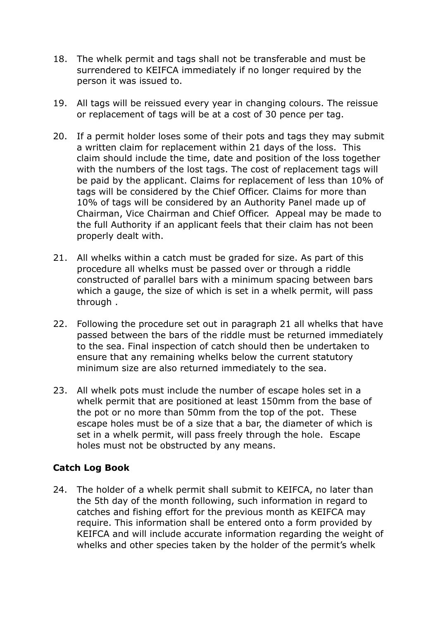- 18. The whelk permit and tags shall not be transferable and must be surrendered to KEIFCA immediately if no longer required by the person it was issued to.
- 19. All tags will be reissued every year in changing colours. The reissue or replacement of tags will be at a cost of 30 pence per tag.
- 20. If a permit holder loses some of their pots and tags they may submit a written claim for replacement within 21 days of the loss. This claim should include the time, date and position of the loss together with the numbers of the lost tags. The cost of replacement tags will be paid by the applicant. Claims for replacement of less than 10% of tags will be considered by the Chief Officer. Claims for more than 10% of tags will be considered by an Authority Panel made up of Chairman, Vice Chairman and Chief Officer. Appeal may be made to the full Authority if an applicant feels that their claim has not been properly dealt with.
- 21. All whelks within a catch must be graded for size. As part of this procedure all whelks must be passed over or through a riddle constructed of parallel bars with a minimum spacing between bars which a gauge, the size of which is set in a whelk permit, will pass through .
- 22. Following the procedure set out in paragraph 21 all whelks that have passed between the bars of the riddle must be returned immediately to the sea. Final inspection of catch should then be undertaken to ensure that any remaining whelks below the current statutory minimum size are also returned immediately to the sea.
- 23. All whelk pots must include the number of escape holes set in a whelk permit that are positioned at least 150mm from the base of the pot or no more than 50mm from the top of the pot. These escape holes must be of a size that a bar, the diameter of which is set in a whelk permit, will pass freely through the hole. Escape holes must not be obstructed by any means.

#### **Catch Log Book**

24. The holder of a whelk permit shall submit to KEIFCA, no later than the 5th day of the month following, such information in regard to catches and fishing effort for the previous month as KEIFCA may require. This information shall be entered onto a form provided by KEIFCA and will include accurate information regarding the weight of whelks and other species taken by the holder of the permit's whelk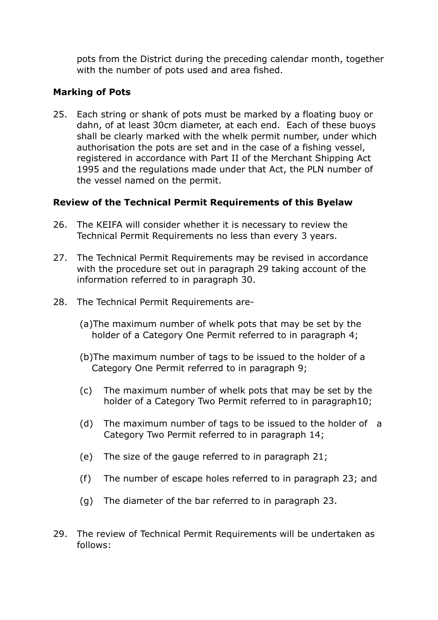pots from the District during the preceding calendar month, together with the number of pots used and area fished.

#### **Marking of Pots**

25. Each string or shank of pots must be marked by a floating buoy or dahn, of at least 30cm diameter, at each end. Each of these buoys shall be clearly marked with the whelk permit number, under which authorisation the pots are set and in the case of a fishing vessel, registered in accordance with Part II of the Merchant Shipping Act 1995 and the regulations made under that Act, the PLN number of the vessel named on the permit.

#### **Review of the Technical Permit Requirements of this Byelaw**

- 26. The KEIFA will consider whether it is necessary to review the Technical Permit Requirements no less than every 3 years.
- 27. The Technical Permit Requirements may be revised in accordance with the procedure set out in paragraph 29 taking account of the information referred to in paragraph 30.
- 28. The Technical Permit Requirements are-
	- (a)The maximum number of whelk pots that may be set by the holder of a Category One Permit referred to in paragraph 4;
	- (b)The maximum number of tags to be issued to the holder of a Category One Permit referred to in paragraph 9;
	- (c) The maximum number of whelk pots that may be set by the holder of a Category Two Permit referred to in paragraph10;
	- (d) The maximum number of tags to be issued to the holder of a Category Two Permit referred to in paragraph 14;
	- (e) The size of the gauge referred to in paragraph 21;
	- (f) The number of escape holes referred to in paragraph 23; and
	- (g) The diameter of the bar referred to in paragraph 23.
- 29. The review of Technical Permit Requirements will be undertaken as follows: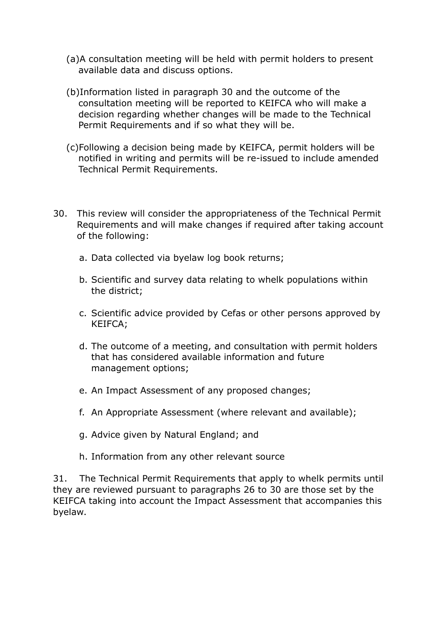- (a)A consultation meeting will be held with permit holders to present available data and discuss options.
- (b)Information listed in paragraph 30 and the outcome of the consultation meeting will be reported to KEIFCA who will make a decision regarding whether changes will be made to the Technical Permit Requirements and if so what they will be.
- (c)Following a decision being made by KEIFCA, permit holders will be notified in writing and permits will be re-issued to include amended Technical Permit Requirements.
- 30. This review will consider the appropriateness of the Technical Permit Requirements and will make changes if required after taking account of the following:
	- a. Data collected via byelaw log book returns;
	- b. Scientific and survey data relating to whelk populations within the district;
	- c. Scientific advice provided by Cefas or other persons approved by KEIFCA;
	- d. The outcome of a meeting, and consultation with permit holders that has considered available information and future management options;
	- e. An Impact Assessment of any proposed changes;
	- f. An Appropriate Assessment (where relevant and available);
	- g. Advice given by Natural England; and
	- h. Information from any other relevant source

31. The Technical Permit Requirements that apply to whelk permits until they are reviewed pursuant to paragraphs 26 to 30 are those set by the KEIFCA taking into account the Impact Assessment that accompanies this byelaw.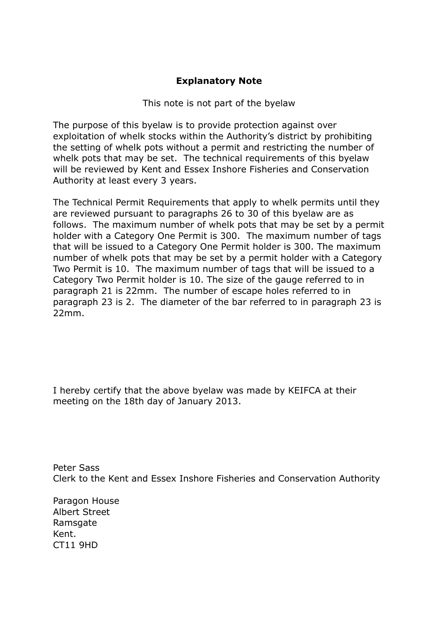#### **Explanatory Note**

#### This note is not part of the byelaw

The purpose of this byelaw is to provide protection against over exploitation of whelk stocks within the Authority's district by prohibiting the setting of whelk pots without a permit and restricting the number of whelk pots that may be set. The technical requirements of this byelaw will be reviewed by Kent and Essex Inshore Fisheries and Conservation Authority at least every 3 years.

The Technical Permit Requirements that apply to whelk permits until they are reviewed pursuant to paragraphs 26 to 30 of this byelaw are as follows. The maximum number of whelk pots that may be set by a permit holder with a Category One Permit is 300. The maximum number of tags that will be issued to a Category One Permit holder is 300. The maximum number of whelk pots that may be set by a permit holder with a Category Two Permit is 10. The maximum number of tags that will be issued to a Category Two Permit holder is 10. The size of the gauge referred to in paragraph 21 is 22mm. The number of escape holes referred to in paragraph 23 is 2. The diameter of the bar referred to in paragraph 23 is 22mm.

I hereby certify that the above byelaw was made by KEIFCA at their meeting on the 18th day of January 2013.

Peter Sass Clerk to the Kent and Essex Inshore Fisheries and Conservation Authority

Paragon House Albert Street Ramsgate Kent. CT11 9HD